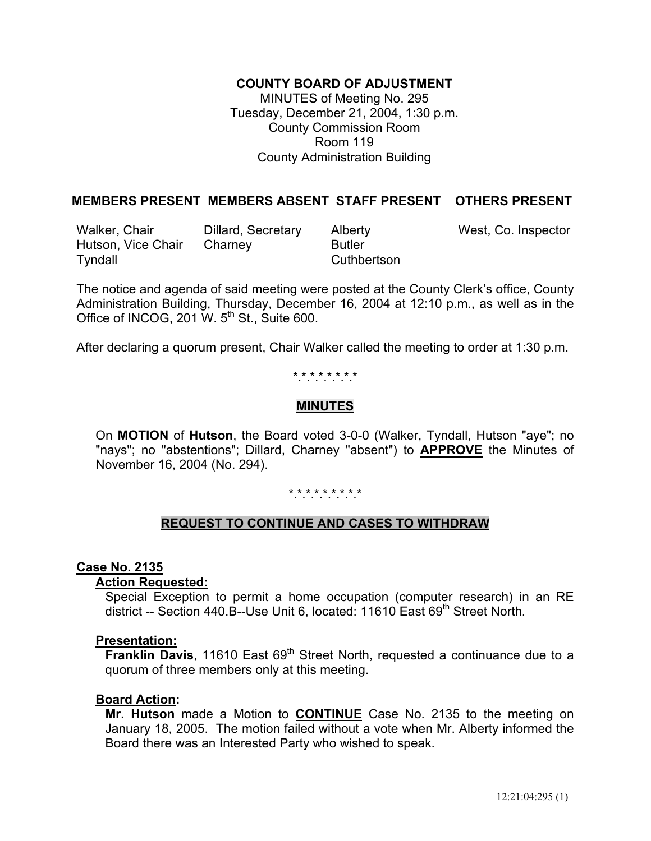# **COUNTY BOARD OF ADJUSTMENT**

MINUTES of Meeting No. 295 Tuesday, December 21, 2004, 1:30 p.m. County Commission Room Room 119 County Administration Building

# **MEMBERS PRESENT MEMBERS ABSENT STAFF PRESENT OTHERS PRESENT**

Walker, Chair **Dillard, Secretary** Alberty Mest, Co. Inspector Hutson, Vice Chair Charney Butler Tyndall **Cuthbertson** 

The notice and agenda of said meeting were posted at the County Clerk's office, County Administration Building, Thursday, December 16, 2004 at 12:10 p.m., as well as in the Office of INCOG, 201 W.  $5<sup>th</sup>$  St., Suite 600.

After declaring a quorum present, Chair Walker called the meeting to order at 1:30 p.m.

# \*.\*.\*.\*.\*.\*.\*.\*

# **MINUTES**

 On **MOTION** of **Hutson**, the Board voted 3-0-0 (Walker, Tyndall, Hutson "aye"; no "nays"; no "abstentions"; Dillard, Charney "absent") to **APPROVE** the Minutes of November 16, 2004 (No. 294).

\*.\*.\*.\*.\*.\*.\*.\*.\*

# **REQUEST TO CONTINUE AND CASES TO WITHDRAW**

### **Case No. 2135**

### **Action Requested:**

 Special Exception to permit a home occupation (computer research) in an RE district -- Section 440.B--Use Unit 6, located: 11610 East 69<sup>th</sup> Street North.

#### **Presentation:**

**Franklin Davis**, 11610 East 69<sup>th</sup> Street North, requested a continuance due to a quorum of three members only at this meeting.

### **Board Action:**

 **Mr. Hutson** made a Motion to **CONTINUE** Case No. 2135 to the meeting on January 18, 2005. The motion failed without a vote when Mr. Alberty informed the Board there was an Interested Party who wished to speak.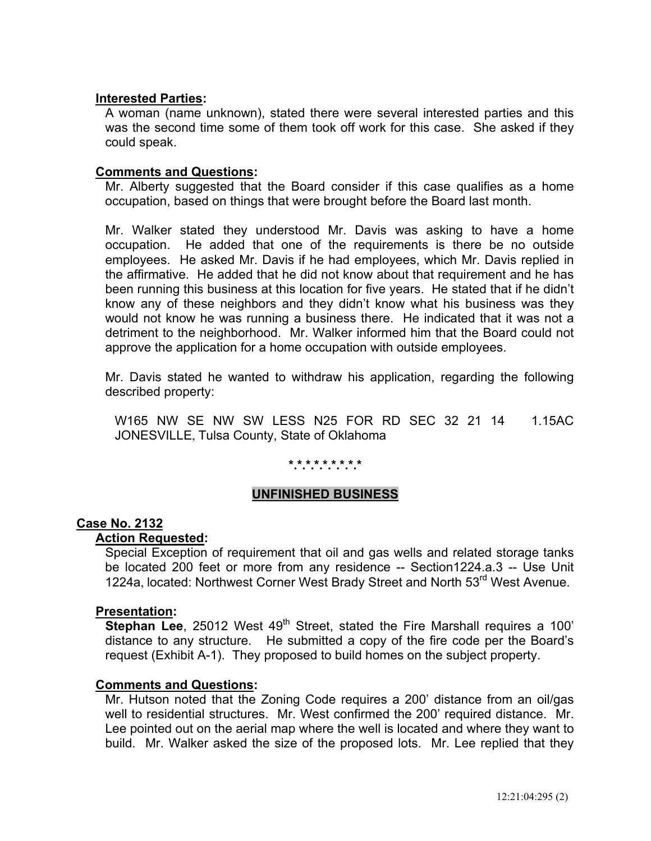## **Interested Parties:**

A woman (name unknown), stated there were several interested parties and this was the second time some of them took off work for this case. She asked if they could speak.

## **Comments and Questions:**

 Mr. Alberty suggested that the Board consider if this case qualifies as a home occupation, based on things that were brought before the Board last month.

 Mr. Walker stated they understood Mr. Davis was asking to have a home occupation. He added that one of the requirements is there be no outside employees. He asked Mr. Davis if he had employees, which Mr. Davis replied in the affirmative. He added that he did not know about that requirement and he has been running this business at this location for five years. He stated that if he didn't know any of these neighbors and they didn't know what his business was they would not know he was running a business there. He indicated that it was not a detriment to the neighborhood. Mr. Walker informed him that the Board could not approve the application for a home occupation with outside employees.

 Mr. Davis stated he wanted to withdraw his application, regarding the following described property:

 W165 NW SE NW SW LESS N25 FOR RD SEC 32 21 14 1.15AC JONESVILLE, Tulsa County, State of Oklahoma

# **\*.\*.\*.\*.\*.\*.\*.\*.\***

# **UNFINISHED BUSINESS**

### **Case No. 2132**

#### **Action Requested:**

 Special Exception of requirement that oil and gas wells and related storage tanks be located 200 feet or more from any residence -- Section1224.a.3 -- Use Unit 1224a, located: Northwest Corner West Brady Street and North 53<sup>rd</sup> West Avenue.

#### **Presentation:**

**Stephan Lee**, 25012 West 49<sup>th</sup> Street, stated the Fire Marshall requires a 100' distance to any structure. He submitted a copy of the fire code per the Board's request (Exhibit A-1). They proposed to build homes on the subject property.

#### **Comments and Questions:**

 Mr. Hutson noted that the Zoning Code requires a 200' distance from an oil/gas well to residential structures. Mr. West confirmed the 200' required distance. Mr. Lee pointed out on the aerial map where the well is located and where they want to build. Mr. Walker asked the size of the proposed lots. Mr. Lee replied that they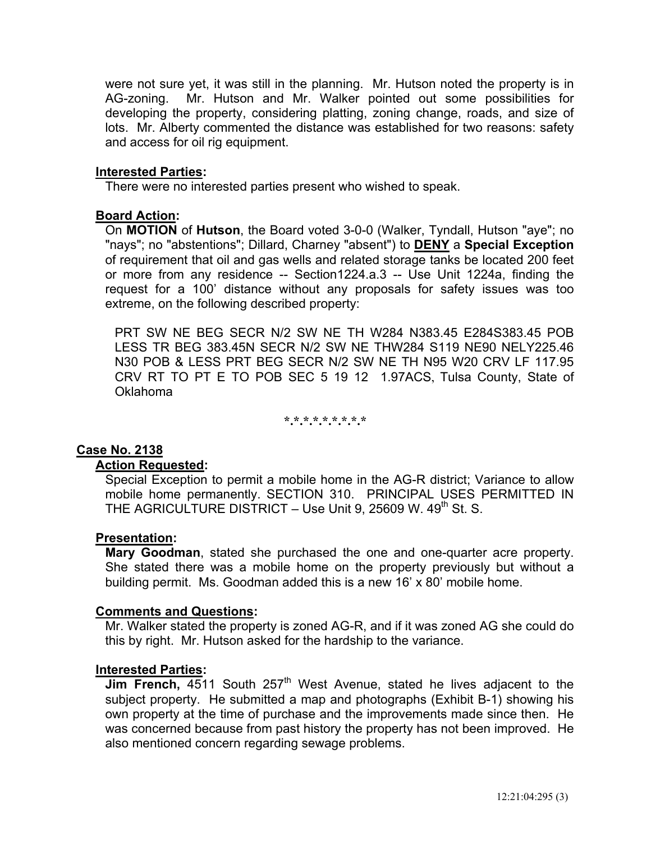were not sure yet, it was still in the planning. Mr. Hutson noted the property is in AG-zoning. Mr. Hutson and Mr. Walker pointed out some possibilities for developing the property, considering platting, zoning change, roads, and size of lots. Mr. Alberty commented the distance was established for two reasons: safety and access for oil rig equipment.

### **Interested Parties:**

There were no interested parties present who wished to speak.

### **Board Action:**

On **MOTION** of **Hutson**, the Board voted 3-0-0 (Walker, Tyndall, Hutson "aye"; no "nays"; no "abstentions"; Dillard, Charney "absent") to **DENY** a **Special Exception** of requirement that oil and gas wells and related storage tanks be located 200 feet or more from any residence -- Section1224.a.3 -- Use Unit 1224a, finding the request for a 100' distance without any proposals for safety issues was too extreme, on the following described property:

PRT SW NE BEG SECR N/2 SW NE TH W284 N383.45 E284S383.45 POB LESS TR BEG 383.45N SECR N/2 SW NE THW284 S119 NE90 NELY225.46 N30 POB & LESS PRT BEG SECR N/2 SW NE TH N95 W20 CRV LF 117.95 CRV RT TO PT E TO POB SEC 5 19 12 1.97ACS, Tulsa County, State of Oklahoma

**\*.\*.\*.\*.\*.\*.\*.\*.\*** 

### **Case No. 2138**

#### **Action Requested:**

 Special Exception to permit a mobile home in the AG-R district; Variance to allow mobile home permanently. SECTION 310. PRINCIPAL USES PERMITTED IN THE AGRICULTURE DISTRICT – Use Unit 9, 25609 W.  $49<sup>th</sup>$  St. S.

### **Presentation:**

 **Mary Goodman**, stated she purchased the one and one-quarter acre property. She stated there was a mobile home on the property previously but without a building permit. Ms. Goodman added this is a new 16' x 80' mobile home.

#### **Comments and Questions:**

 Mr. Walker stated the property is zoned AG-R, and if it was zoned AG she could do this by right. Mr. Hutson asked for the hardship to the variance.

#### **Interested Parties:**

**Jim French, 4511 South 257<sup>th</sup> West Avenue, stated he lives adjacent to the** subject property. He submitted a map and photographs (Exhibit B-1) showing his own property at the time of purchase and the improvements made since then. He was concerned because from past history the property has not been improved. He also mentioned concern regarding sewage problems.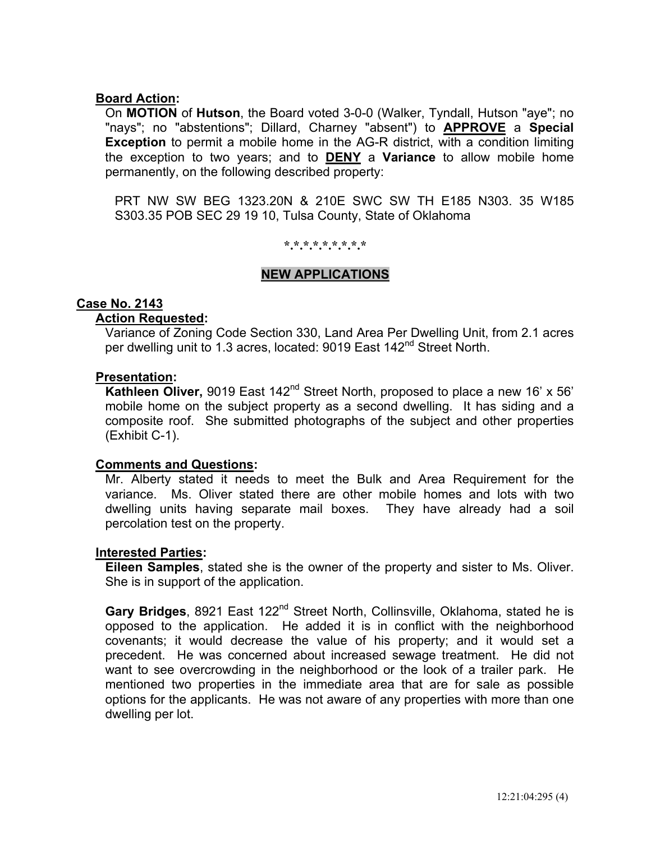### **Board Action:**

On **MOTION** of **Hutson**, the Board voted 3-0-0 (Walker, Tyndall, Hutson "aye"; no "nays"; no "abstentions"; Dillard, Charney "absent") to **APPROVE** a **Special Exception** to permit a mobile home in the AG-R district, with a condition limiting the exception to two years; and to **DENY** a **Variance** to allow mobile home permanently, on the following described property:

 PRT NW SW BEG 1323.20N & 210E SWC SW TH E185 N303. 35 W185 S303.35 POB SEC 29 19 10, Tulsa County, State of Oklahoma

**\*.\*.\*.\*.\*.\*.\*.\*.\*** 

### **NEW APPLICATIONS**

## **Case No. 2143**

#### **Action Requested:**

 Variance of Zoning Code Section 330, Land Area Per Dwelling Unit, from 2.1 acres per dwelling unit to 1.3 acres, located: 9019 East 142<sup>nd</sup> Street North.

#### **Presentation:**

**Kathleen Oliver,** 9019 East 142<sup>nd</sup> Street North, proposed to place a new 16' x 56' mobile home on the subject property as a second dwelling. It has siding and a composite roof. She submitted photographs of the subject and other properties (Exhibit C-1).

#### **Comments and Questions:**

 Mr. Alberty stated it needs to meet the Bulk and Area Requirement for the variance. Ms. Oliver stated there are other mobile homes and lots with two dwelling units having separate mail boxes. They have already had a soil percolation test on the property.

#### **Interested Parties:**

 **Eileen Samples**, stated she is the owner of the property and sister to Ms. Oliver. She is in support of the application.

Gary Bridges, 8921 East 122<sup>nd</sup> Street North, Collinsville, Oklahoma, stated he is opposed to the application. He added it is in conflict with the neighborhood covenants; it would decrease the value of his property; and it would set a precedent. He was concerned about increased sewage treatment. He did not want to see overcrowding in the neighborhood or the look of a trailer park. He mentioned two properties in the immediate area that are for sale as possible options for the applicants. He was not aware of any properties with more than one dwelling per lot.